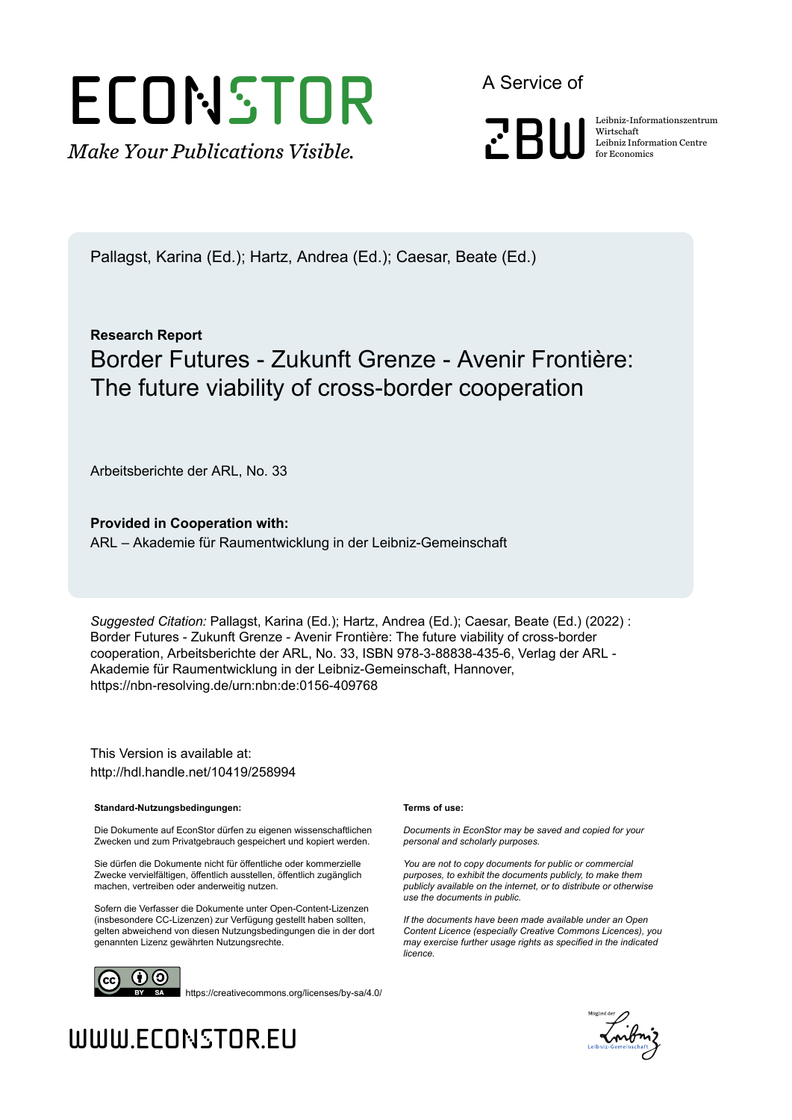# ECONSTOR

*Make Your Publications Visible.*

A Service of



Wirtschaft Leibniz Information Centre for Economics

Pallagst, Karina (Ed.); Hartz, Andrea (Ed.); Caesar, Beate (Ed.)

## **Research Report** Border Futures - Zukunft Grenze - Avenir Frontière: The future viability of cross-border cooperation

Arbeitsberichte der ARL, No. 33

**Provided in Cooperation with:** ARL – Akademie für Raumentwicklung in der Leibniz-Gemeinschaft

*Suggested Citation:* Pallagst, Karina (Ed.); Hartz, Andrea (Ed.); Caesar, Beate (Ed.) (2022) : Border Futures - Zukunft Grenze - Avenir Frontière: The future viability of cross-border cooperation, Arbeitsberichte der ARL, No. 33, ISBN 978-3-88838-435-6, Verlag der ARL - Akademie für Raumentwicklung in der Leibniz-Gemeinschaft, Hannover, https://nbn-resolving.de/urn:nbn:de:0156-409768

This Version is available at: http://hdl.handle.net/10419/258994

#### **Standard-Nutzungsbedingungen:**

Die Dokumente auf EconStor dürfen zu eigenen wissenschaftlichen Zwecken und zum Privatgebrauch gespeichert und kopiert werden.

Sie dürfen die Dokumente nicht für öffentliche oder kommerzielle Zwecke vervielfältigen, öffentlich ausstellen, öffentlich zugänglich machen, vertreiben oder anderweitig nutzen.

Sofern die Verfasser die Dokumente unter Open-Content-Lizenzen (insbesondere CC-Lizenzen) zur Verfügung gestellt haben sollten, gelten abweichend von diesen Nutzungsbedingungen die in der dort genannten Lizenz gewährten Nutzungsrechte.

#### **Terms of use:**

*Documents in EconStor may be saved and copied for your personal and scholarly purposes.*

*You are not to copy documents for public or commercial purposes, to exhibit the documents publicly, to make them publicly available on the internet, or to distribute or otherwise use the documents in public.*

*If the documents have been made available under an Open Content Licence (especially Creative Commons Licences), you may exercise further usage rights as specified in the indicated licence.*



https://creativecommons.org/licenses/by-sa/4.0/



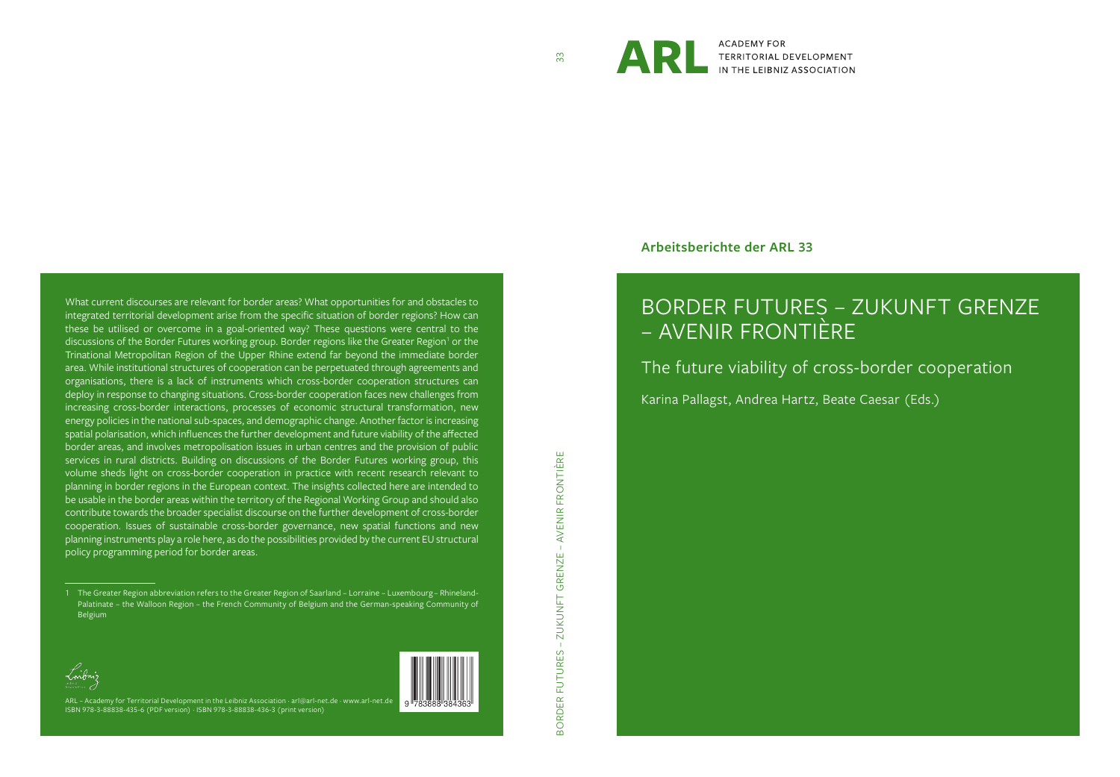

ARRENTORIAL DEVELOPMENT **ACADEMY FOR** 

**Arbeitsberichte der ARL 33**

# BORDER FUTURES – ZUKUNFT GRENZE – AVENIR FRONTIÈRE

The future viability of cross-border cooperation

Karina Pallagst, Andrea Hartz, Beate Caesar (Eds.)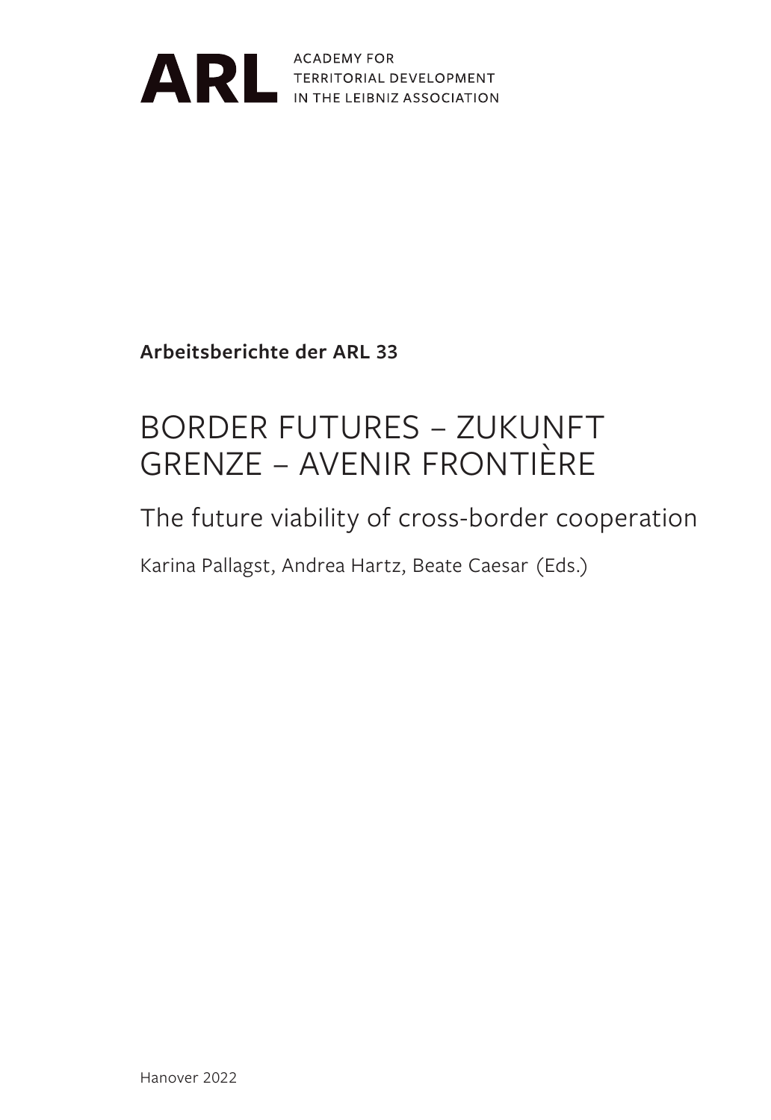

ARL ACADEMY FOR TERRITORIAL DEVELOPMENT

**Arbeitsberichte der ARL 33**

# BORDER FUTURES – ZUKUNFT GRENZE – AVENIR FRONTIÈRE

## The future viability of cross-border cooperation

Karina Pallagst, Andrea Hartz, Beate Caesar (Eds.)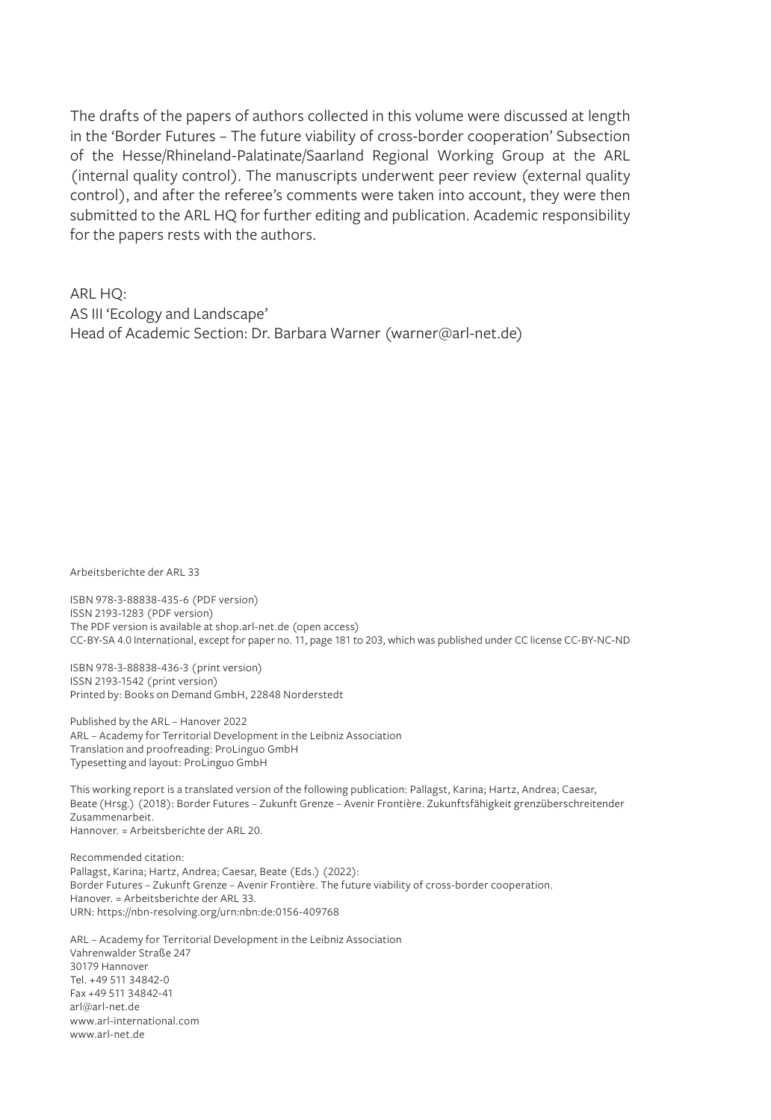The drafts of the papers of authors collected in this volume were discussed at length in the 'Border Futures – The future viability of cross-border cooperation' Subsection of the Hesse/Rhineland-Palatinate/Saarland Regional Working Group at the ARL (internal quality control). The manuscripts underwent peer review (external quality control), and after the referee's comments were taken into account, they were then submitted to the ARL HQ for further editing and publication. Academic responsibility for the papers rests with the authors.

ARL HQ:

AS III 'Ecology and Landscape'

Head of Academic Section: Dr. Barbara Warner (warner@arl-net.de)

Arbeitsberichte der ARL 33

ISBN 978-3-88838-435-6 (PDF version) ISSN 2193-1283 (PDF version) The PDF version is available at shop.arl-net.de (open access) CC-BY-SA 4.0 International, except for paper no. 11, page 181 to 203, which was published under CC license CC-BY-NC-ND

ISBN 978-3-88838-436-3 (print version) ISSN 2193-1542 (print version) Printed by: Books on Demand GmbH, 22848 Norderstedt

Published by the ARL – Hanover 2022 ARL – Academy for Territorial Development in the Leibniz Association Translation and proofreading: ProLinguo GmbH Typesetting and layout: ProLinguo GmbH

This working report is a translated version of the following publication: Pallagst, Karina; Hartz, Andrea; Caesar, Beate (Hrsg.) (2018): Border Futures – Zukunft Grenze – Avenir Frontière. Zukunftsfähigkeit grenzüberschreitender Zusammenarbeit. Hannover. = Arbeitsberichte der ARL 20.

Recommended citation: Pallagst, Karina; Hartz, Andrea; Caesar, Beate (Eds.) (2022): Border Futures – Zukunft Grenze – Avenir Frontière. The future viability of cross-border cooperation. Hanover. = Arbeitsberichte der ARL 33. URN: https://nbn-resolving.org/urn:nbn:de:0156-409768

ARL – Academy for Territorial Development in the Leibniz Association Vahrenwalder Straße 247 30179 Hannover Tel. +49 511 34842-0 Fax +49 511 34842-41 arl@arl-net.de www.arl-international.com www.arl-net.de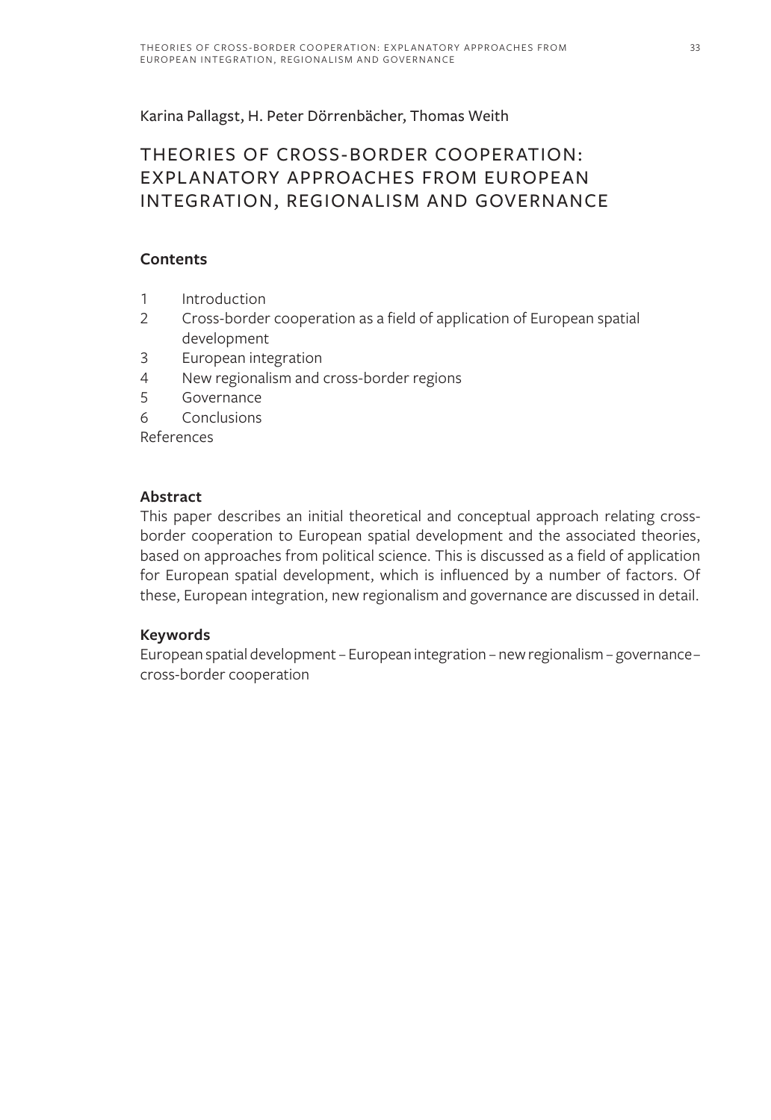Karina Pallagst, H. Peter Dörrenbächer, Thomas Weith

#### THEORIES OF CROSS-BORDER COOPERATION: EXPLANATORY APPROACHES FROM EUROPEAN INTEGRATION, REGIONALISM AND GOVERNANCE

#### **Contents**

- 1 Introduction
- 2 Cross-border cooperation as a field of application of European spatial development
- 3 European integration
- 4 New regionalism and cross-border regions
- 5 Governance
- 6 Conclusions

References

#### **Abstract**

This paper describes an initial theoretical and conceptual approach relating crossborder cooperation to European spatial development and the associated theories, based on approaches from political science. This is discussed as a field of application for European spatial development, which is influenced by a number of factors. Of these, European integration, new regionalism and governance are discussed in detail.

#### **Keywords**

European spatial development – European integration – new regionalism – governance – cross-border cooperation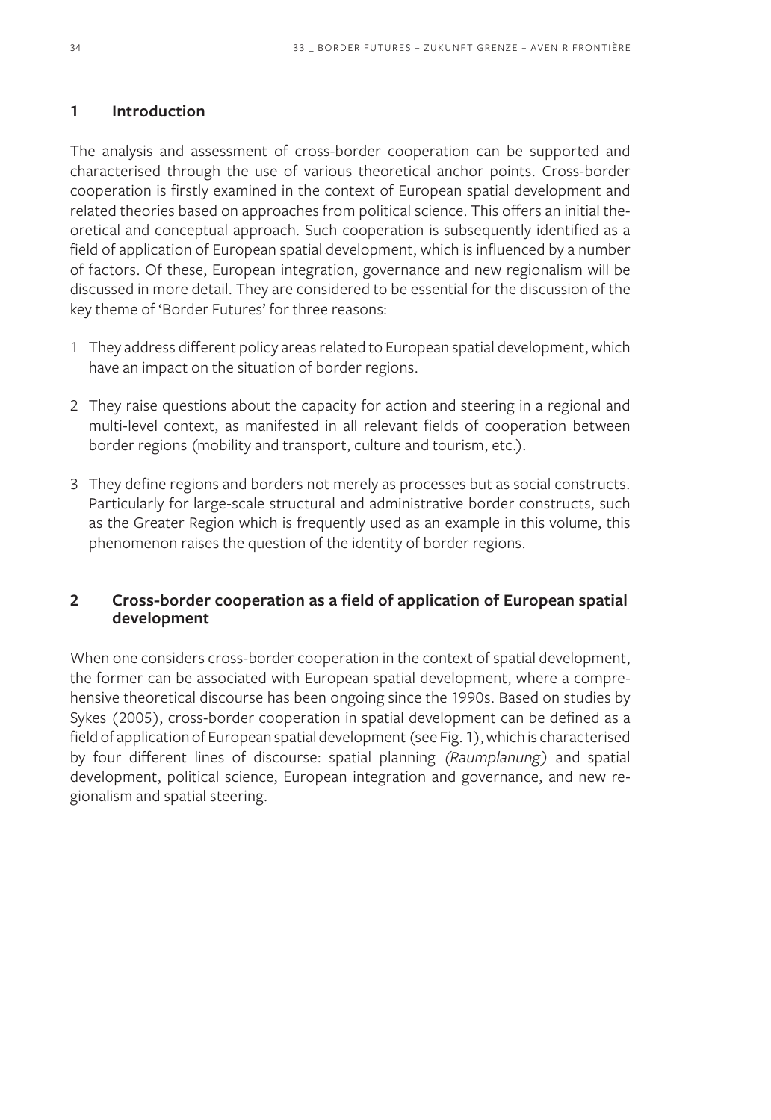#### **1 Introduction**

The analysis and assessment of cross-border cooperation can be supported and characterised through the use of various theoretical anchor points. Cross-border cooperation is firstly examined in the context of European spatial development and related theories based on approaches from political science. This offers an initial theoretical and conceptual approach. Such cooperation is subsequently identified as a field of application of European spatial development, which is influenced by a number of factors. Of these, European integration, governance and new regionalism will be discussed in more detail. They are considered to be essential for the discussion of the key theme of 'Border Futures' for three reasons:

- 1 They address different policy areas related to European spatial development, which have an impact on the situation of border regions.
- 2 They raise questions about the capacity for action and steering in a regional and multi-level context, as manifested in all relevant fields of cooperation between border regions (mobility and transport, culture and tourism, etc.).
- 3 They define regions and borders not merely as processes but as social constructs. Particularly for large-scale structural and administrative border constructs, such as the Greater Region which is frequently used as an example in this volume, this phenomenon raises the question of the identity of border regions.

#### **2 Cross-border cooperation as a field of application of European spatial development**

When one considers cross-border cooperation in the context of spatial development, the former can be associated with European spatial development, where a comprehensive theoretical discourse has been ongoing since the 1990s. Based on studies by Sykes (2005), cross-border cooperation in spatial development can be defined as a field of application of European spatial development (see Fig. 1), which is characterised by four different lines of discourse: spatial planning *(Raumplanung)* and spatial development, political science, European integration and governance, and new regionalism and spatial steering.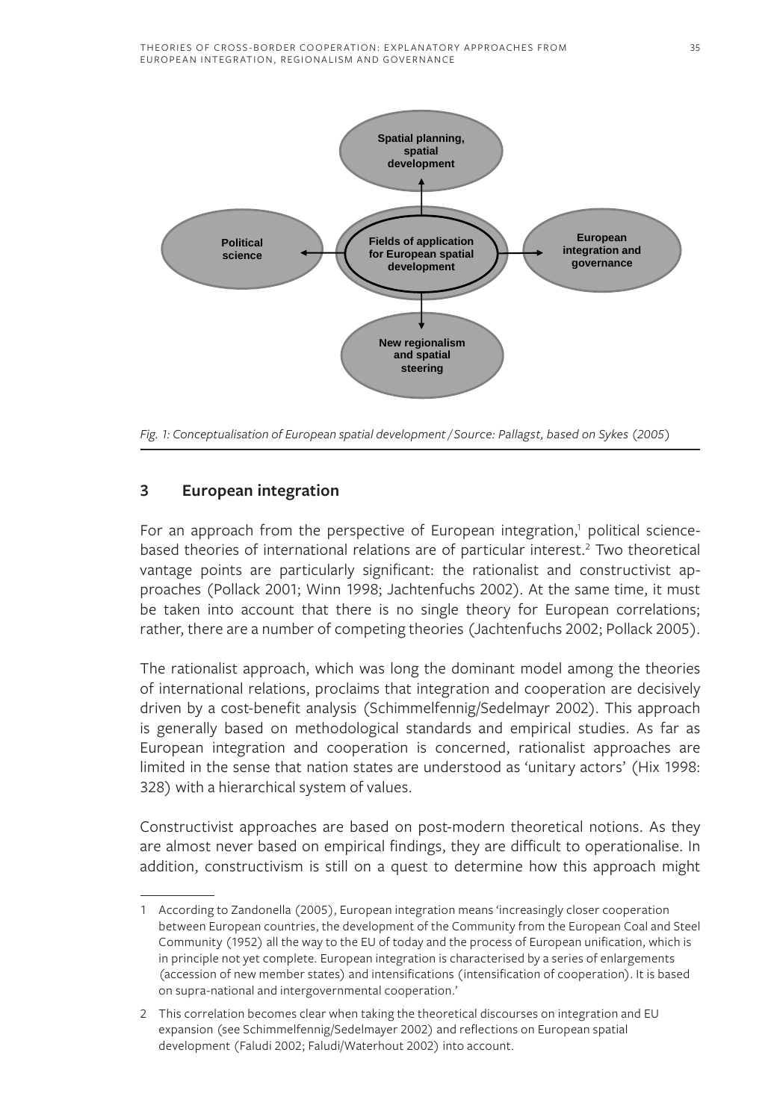

*Fig. 1: Conceptualisation of European spatial development / Source: Pallagst, based on Sykes (2005)*

#### **3 European integration**

For an approach from the perspective of European integration,<sup>1</sup> political sciencebased theories of international relations are of particular interest.<sup>2</sup> Two theoretical vantage points are particularly significant: the rationalist and constructivist approaches (Pollack 2001; Winn 1998; Jachtenfuchs 2002). At the same time, it must be taken into account that there is no single theory for European correlations; rather, there are a number of competing theories (Jachtenfuchs 2002; Pollack 2005).

The rationalist approach, which was long the dominant model among the theories of international relations, proclaims that integration and cooperation are decisively driven by a cost-benefit analysis (Schimmelfennig/Sedelmayr 2002). This approach is generally based on methodological standards and empirical studies. As far as European integration and cooperation is concerned, rationalist approaches are limited in the sense that nation states are understood as 'unitary actors' (Hix 1998: 328) with a hierarchical system of values.

Constructivist approaches are based on post-modern theoretical notions. As they are almost never based on empirical findings, they are difficult to operationalise. In addition, constructivism is still on a quest to determine how this approach might

<sup>1</sup> According to Zandonella (2005), European integration means 'increasingly closer cooperation between European countries, the development of the Community from the European Coal and Steel Community (1952) all the way to the EU of today and the process of European unification, which is in principle not yet complete. European integration is characterised by a series of enlargements (accession of new member states) and intensifications (intensification of cooperation). It is based on supra-national and intergovernmental cooperation.'

<sup>2</sup> This correlation becomes clear when taking the theoretical discourses on integration and EU expansion (see Schimmelfennig/Sedelmayer 2002) and reflections on European spatial development (Faludi 2002; Faludi/Waterhout 2002) into account.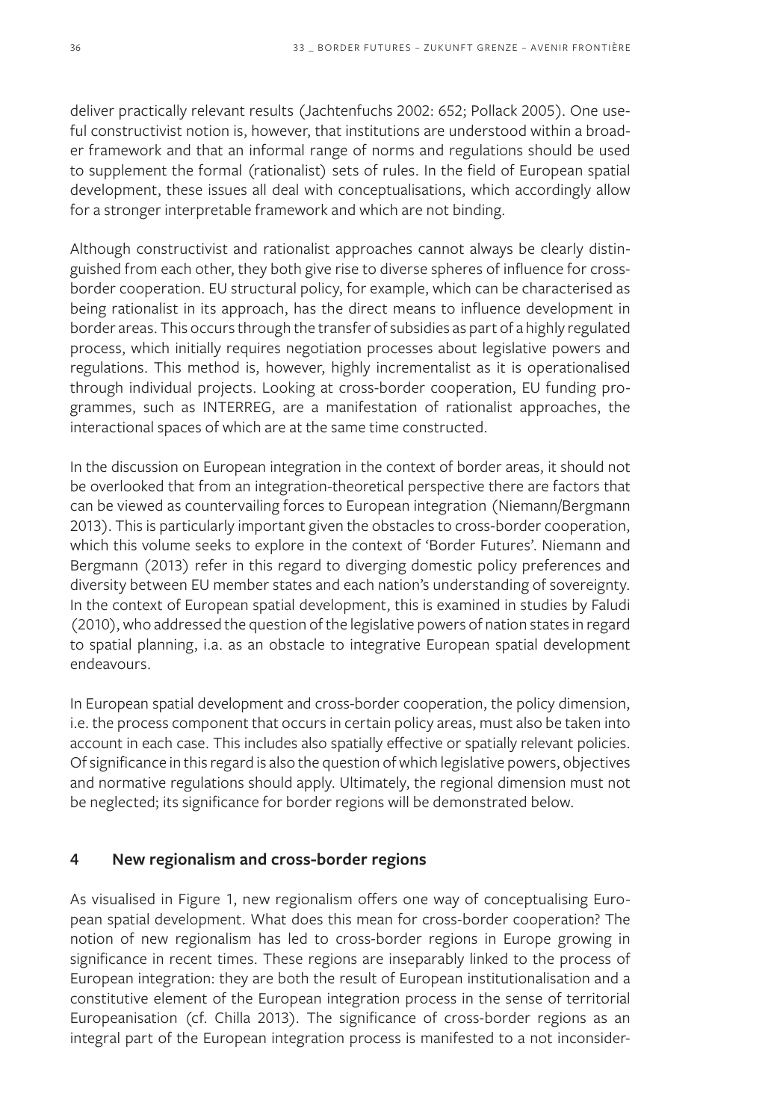deliver practically relevant results (Jachtenfuchs 2002: 652; Pollack 2005). One useful constructivist notion is, however, that institutions are understood within a broader framework and that an informal range of norms and regulations should be used to supplement the formal (rationalist) sets of rules. In the field of European spatial development, these issues all deal with conceptualisations, which accordingly allow for a stronger interpretable framework and which are not binding.

Although constructivist and rationalist approaches cannot always be clearly distinguished from each other, they both give rise to diverse spheres of influence for crossborder cooperation. EU structural policy, for example, which can be characterised as being rationalist in its approach, has the direct means to influence development in border areas. This occurs through the transfer of subsidies as part of a highly regulated process, which initially requires negotiation processes about legislative powers and regulations. This method is, however, highly incrementalist as it is operationalised through individual projects. Looking at cross-border cooperation, EU funding programmes, such as INTERREG, are a manifestation of rationalist approaches, the interactional spaces of which are at the same time constructed.

In the discussion on European integration in the context of border areas, it should not be overlooked that from an integration-theoretical perspective there are factors that can be viewed as countervailing forces to European integration (Niemann/Bergmann 2013). This is particularly important given the obstacles to cross-border cooperation, which this volume seeks to explore in the context of 'Border Futures'. Niemann and Bergmann (2013) refer in this regard to diverging domestic policy preferences and diversity between EU member states and each nation's understanding of sovereignty. In the context of European spatial development, this is examined in studies by Faludi (2010), who addressed the question of the legislative powers of nation states in regard to spatial planning, i.a. as an obstacle to integrative European spatial development endeavours.

In European spatial development and cross-border cooperation, the policy dimension, i.e. the process component that occurs in certain policy areas, must also be taken into account in each case. This includes also spatially effective or spatially relevant policies. Of significance in this regard is also the question of which legislative powers, objectives and normative regulations should apply. Ultimately, the regional dimension must not be neglected; its significance for border regions will be demonstrated below.

#### **4 New regionalism and cross-border regions**

As visualised in Figure 1, new regionalism offers one way of conceptualising European spatial development. What does this mean for cross-border cooperation? The notion of new regionalism has led to cross-border regions in Europe growing in significance in recent times. These regions are inseparably linked to the process of European integration: they are both the result of European institutionalisation and a constitutive element of the European integration process in the sense of territorial Europeanisation (cf. Chilla 2013). The significance of cross-border regions as an integral part of the European integration process is manifested to a not inconsider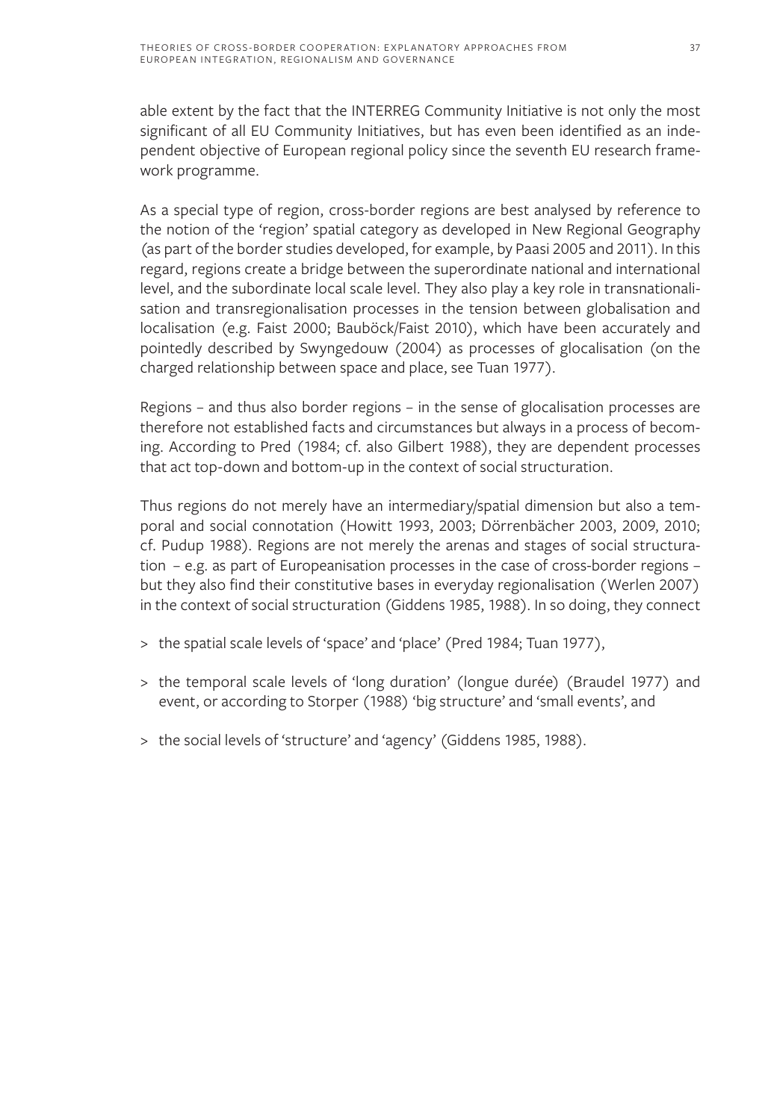able extent by the fact that the INTERREG Community Initiative is not only the most significant of all EU Community Initiatives, but has even been identified as an independent objective of European regional policy since the seventh EU research framework programme.

As a special type of region, cross-border regions are best analysed by reference to the notion of the 'region' spatial category as developed in New Regional Geography (as part of the border studies developed, for example, by Paasi 2005 and 2011). In this regard, regions create a bridge between the superordinate national and international level, and the subordinate local scale level. They also play a key role in transnationalisation and transregionalisation processes in the tension between globalisation and localisation (e.g. Faist 2000; Bauböck/Faist 2010), which have been accurately and pointedly described by Swyngedouw (2004) as processes of glocalisation (on the charged relationship between space and place, see Tuan 1977).

Regions – and thus also border regions – in the sense of glocalisation processes are therefore not established facts and circumstances but always in a process of becoming. According to Pred (1984; cf. also Gilbert 1988), they are dependent processes that act top-down and bottom-up in the context of social structuration.

Thus regions do not merely have an intermediary/spatial dimension but also a temporal and social connotation (Howitt 1993, 2003; Dörrenbächer 2003, 2009, 2010; cf. Pudup 1988). Regions are not merely the arenas and stages of social structuration – e.g. as part of Europeanisation processes in the case of cross-border regions – but they also find their constitutive bases in everyday regionalisation (Werlen 2007) in the context of social structuration (Giddens 1985, 1988). In so doing, they connect

- > the spatial scale levels of 'space' and 'place' (Pred 1984; Tuan 1977),
- > the temporal scale levels of 'long duration' (longue durée) (Braudel 1977) and event, or according to Storper (1988) 'big structure' and 'small events', and
- > the social levels of 'structure' and 'agency' (Giddens 1985, 1988).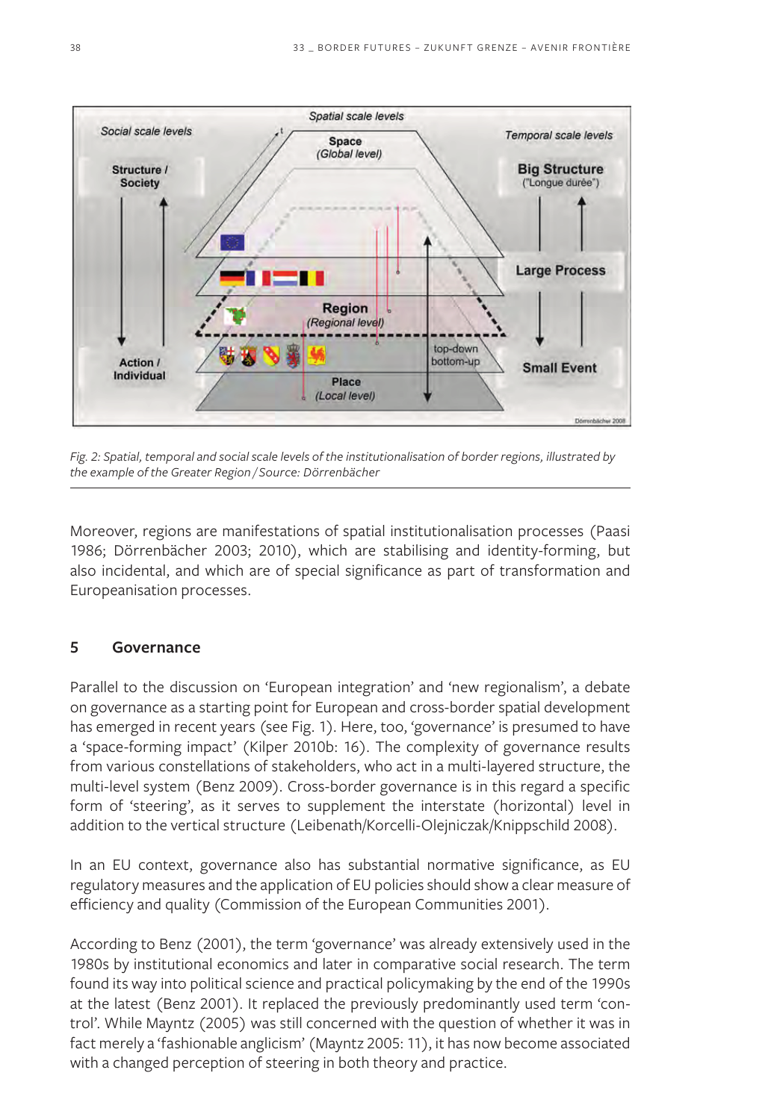

*Fig. 2: Spatial, temporal and social scale levels of the institutionalisation of border regions, illustrated by the example of the Greater Region / Source: Dörrenbächer*

Moreover, regions are manifestations of spatial institutionalisation processes (Paasi 1986; Dörrenbächer 2003; 2010), which are stabilising and identity-forming, but also incidental, and which are of special significance as part of transformation and Europeanisation processes.

#### **5 Governance**

Parallel to the discussion on 'European integration' and 'new regionalism', a debate on governance as a starting point for European and cross-border spatial development has emerged in recent years (see Fig. 1). Here, too, 'governance' is presumed to have a 'space-forming impact' (Kilper 2010b: 16). The complexity of governance results from various constellations of stakeholders, who act in a multi-layered structure, the multi-level system (Benz 2009). Cross-border governance is in this regard a specific form of 'steering', as it serves to supplement the interstate (horizontal) level in addition to the vertical structure (Leibenath/Korcelli-Olejniczak/Knippschild 2008).

In an EU context, governance also has substantial normative significance, as EU regulatory measures and the application of EU policies should show a clear measure of efficiency and quality (Commission of the European Communities 2001).

According to Benz (2001), the term 'governance' was already extensively used in the 1980s by institutional economics and later in comparative social research. The term found its way into political science and practical policymaking by the end of the 1990s at the latest (Benz 2001). It replaced the previously predominantly used term 'control'. While Mayntz (2005) was still concerned with the question of whether it was in fact merely a 'fashionable anglicism' (Mayntz 2005: 11), it has now become associated with a changed perception of steering in both theory and practice.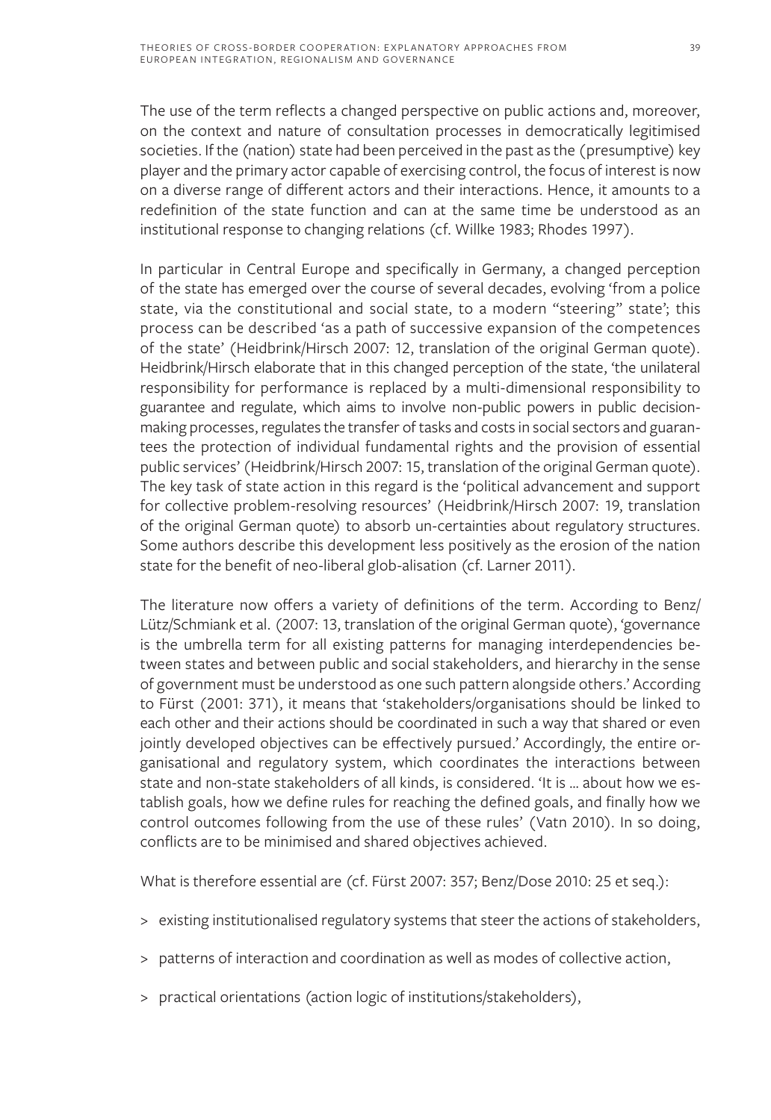The use of the term reflects a changed perspective on public actions and, moreover, on the context and nature of consultation processes in democratically legitimised societies. If the (nation) state had been perceived in the past as the (presumptive) key player and the primary actor capable of exercising control, the focus of interest is now on a diverse range of different actors and their interactions. Hence, it amounts to a redefinition of the state function and can at the same time be understood as an institutional response to changing relations (cf. Willke 1983; Rhodes 1997).

In particular in Central Europe and specifically in Germany, a changed perception of the state has emerged over the course of several decades, evolving 'from a police state, via the constitutional and social state, to a modern "steering" state'; this process can be described 'as a path of successive expansion of the competences of the state' (Heidbrink/Hirsch 2007: 12, translation of the original German quote). Heidbrink/Hirsch elaborate that in this changed perception of the state, 'the unilateral responsibility for performance is replaced by a multi-dimensional responsibility to guarantee and regulate, which aims to involve non-public powers in public decisionmaking processes, regulates the transfer of tasks and costs in social sectors and guarantees the protection of individual fundamental rights and the provision of essential public services' (Heidbrink/Hirsch 2007: 15, translation of the original German quote). The key task of state action in this regard is the 'political advancement and support for collective problem-resolving resources' (Heidbrink/Hirsch 2007: 19, translation of the original German quote) to absorb un-certainties about regulatory structures. Some authors describe this development less positively as the erosion of the nation state for the benefit of neo-liberal glob-alisation (cf. Larner 2011).

The literature now offers a variety of definitions of the term. According to Benz/ Lütz/Schmiank et al. (2007: 13, translation of the original German quote), 'governance is the umbrella term for all existing patterns for managing interdependencies between states and between public and social stakeholders, and hierarchy in the sense of government must be understood as one such pattern alongside others.' According to Fürst (2001: 371), it means that 'stakeholders/organisations should be linked to each other and their actions should be coordinated in such a way that shared or even jointly developed objectives can be effectively pursued.' Accordingly, the entire organisational and regulatory system, which coordinates the interactions between state and non-state stakeholders of all kinds, is considered. 'It is … about how we establish goals, how we define rules for reaching the defined goals, and finally how we control outcomes following from the use of these rules' (Vatn 2010). In so doing, conflicts are to be minimised and shared objectives achieved.

What is therefore essential are (cf. Fürst 2007: 357; Benz/Dose 2010: 25 et seq.):

- > existing institutionalised regulatory systems that steer the actions of stakeholders,
- > patterns of interaction and coordination as well as modes of collective action,
- > practical orientations (action logic of institutions/stakeholders),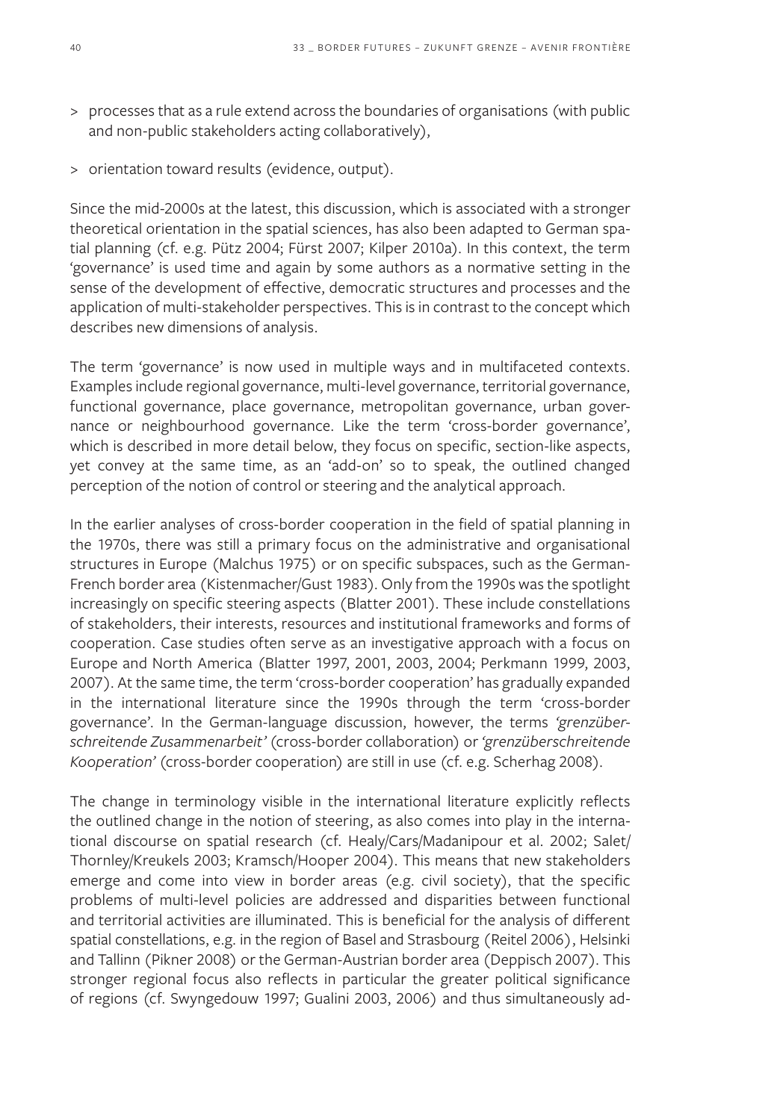- > processes that as a rule extend across the boundaries of organisations (with public and non-public stakeholders acting collaboratively),
- > orientation toward results (evidence, output).

Since the mid-2000s at the latest, this discussion, which is associated with a stronger theoretical orientation in the spatial sciences, has also been adapted to German spatial planning (cf. e.g. Pütz 2004; Fürst 2007; Kilper 2010a). In this context, the term 'governance' is used time and again by some authors as a normative setting in the sense of the development of effective, democratic structures and processes and the application of multi-stakeholder perspectives. This is in contrast to the concept which describes new dimensions of analysis.

The term 'governance' is now used in multiple ways and in multifaceted contexts. Examples include regional governance, multi-level governance, territorial governance, functional governance, place governance, metropolitan governance, urban governance or neighbourhood governance. Like the term 'cross-border governance', which is described in more detail below, they focus on specific, section-like aspects, yet convey at the same time, as an 'add-on' so to speak, the outlined changed perception of the notion of control or steering and the analytical approach.

In the earlier analyses of cross-border cooperation in the field of spatial planning in the 1970s, there was still a primary focus on the administrative and organisational structures in Europe (Malchus 1975) or on specific subspaces, such as the German-French border area (Kistenmacher/Gust 1983). Only from the 1990s was the spotlight increasingly on specific steering aspects (Blatter 2001). These include constellations of stakeholders, their interests, resources and institutional frameworks and forms of cooperation. Case studies often serve as an investigative approach with a focus on Europe and North America (Blatter 1997, 2001, 2003, 2004; Perkmann 1999, 2003, 2007). At the same time, the term 'cross-border cooperation' has gradually expanded in the international literature since the 1990s through the term 'cross-border governance'. In the German-language discussion, however, the terms *'grenzüberschreitende Zusammenarbeit'* (cross-border collaboration) or *'grenzüberschreitende Kooperation'* (cross-border cooperation) are still in use (cf. e.g. Scherhag 2008).

The change in terminology visible in the international literature explicitly reflects the outlined change in the notion of steering, as also comes into play in the international discourse on spatial research (cf. Healy/Cars/Madanipour et al. 2002; Salet/ Thornley/Kreukels 2003; Kramsch/Hooper 2004). This means that new stakeholders emerge and come into view in border areas (e.g. civil society), that the specific problems of multi-level policies are addressed and disparities between functional and territorial activities are illuminated. This is beneficial for the analysis of different spatial constellations, e.g. in the region of Basel and Strasbourg (Reitel 2006), Helsinki and Tallinn (Pikner 2008) or the German-Austrian border area (Deppisch 2007). This stronger regional focus also reflects in particular the greater political significance of regions (cf. Swyngedouw 1997; Gualini 2003, 2006) and thus simultaneously ad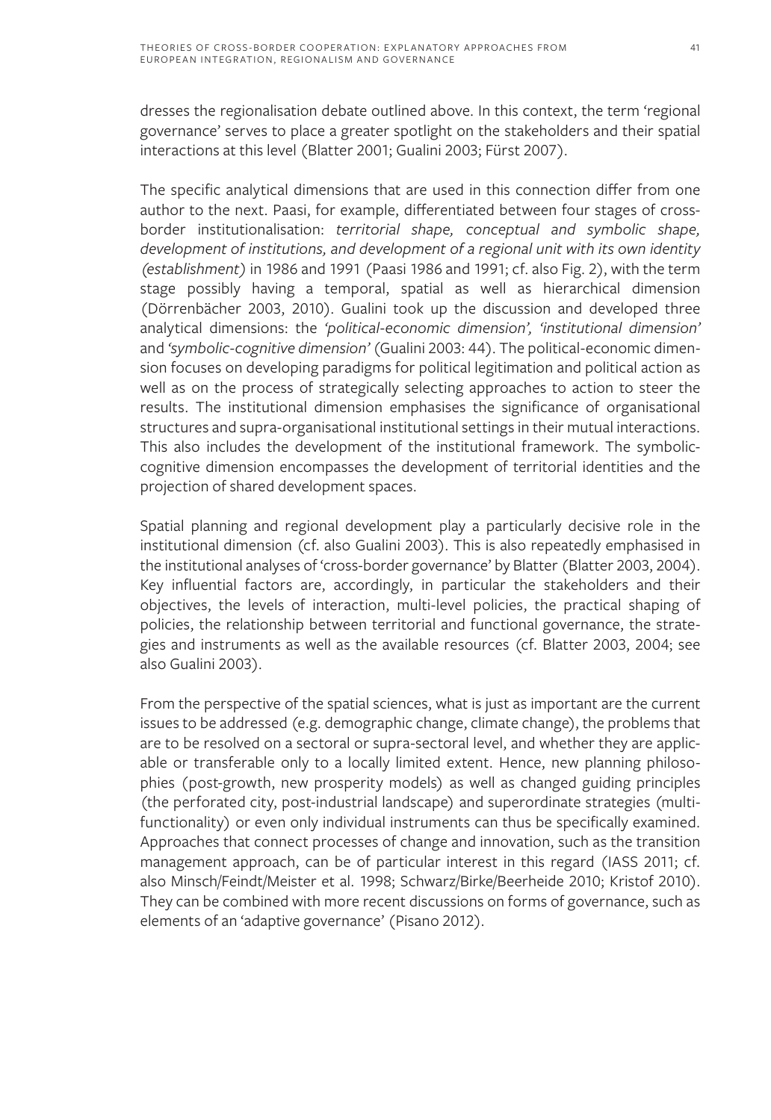dresses the regionalisation debate outlined above. In this context, the term 'regional governance' serves to place a greater spotlight on the stakeholders and their spatial interactions at this level (Blatter 2001; Gualini 2003; Fürst 2007).

The specific analytical dimensions that are used in this connection differ from one author to the next. Paasi, for example, differentiated between four stages of crossborder institutionalisation: *territorial shape, conceptual and symbolic shape, development of institutions, and development of a regional unit with its own identity (establishment)* in 1986 and 1991 (Paasi 1986 and 1991; cf. also Fig. 2), with the term stage possibly having a temporal, spatial as well as hierarchical dimension (Dörrenbächer 2003, 2010). Gualini took up the discussion and developed three analytical dimensions: the *'political-economic dimension', 'institutional dimension'* and *'symbolic-cognitive dimension'* (Gualini 2003: 44). The political-economic dimension focuses on developing paradigms for political legitimation and political action as well as on the process of strategically selecting approaches to action to steer the results. The institutional dimension emphasises the significance of organisational structures and supra-organisational institutional settings in their mutual interactions. This also includes the development of the institutional framework. The symboliccognitive dimension encompasses the development of territorial identities and the projection of shared development spaces.

Spatial planning and regional development play a particularly decisive role in the institutional dimension (cf. also Gualini 2003). This is also repeatedly emphasised in the institutional analyses of 'cross-border governance' by Blatter (Blatter 2003, 2004). Key influential factors are, accordingly, in particular the stakeholders and their objectives, the levels of interaction, multi-level policies, the practical shaping of policies, the relationship between territorial and functional governance, the strategies and instruments as well as the available resources (cf. Blatter 2003, 2004; see also Gualini 2003).

From the perspective of the spatial sciences, what is just as important are the current issues to be addressed (e.g. demographic change, climate change), the problems that are to be resolved on a sectoral or supra-sectoral level, and whether they are applicable or transferable only to a locally limited extent. Hence, new planning philosophies (post-growth, new prosperity models) as well as changed guiding principles (the perforated city, post-industrial landscape) and superordinate strategies (multifunctionality) or even only individual instruments can thus be specifically examined. Approaches that connect processes of change and innovation, such as the transition management approach, can be of particular interest in this regard (IASS 2011; cf. also Minsch/Feindt/Meister et al. 1998; Schwarz/Birke/Beerheide 2010; Kristof 2010). They can be combined with more recent discussions on forms of governance, such as elements of an 'adaptive governance' (Pisano 2012).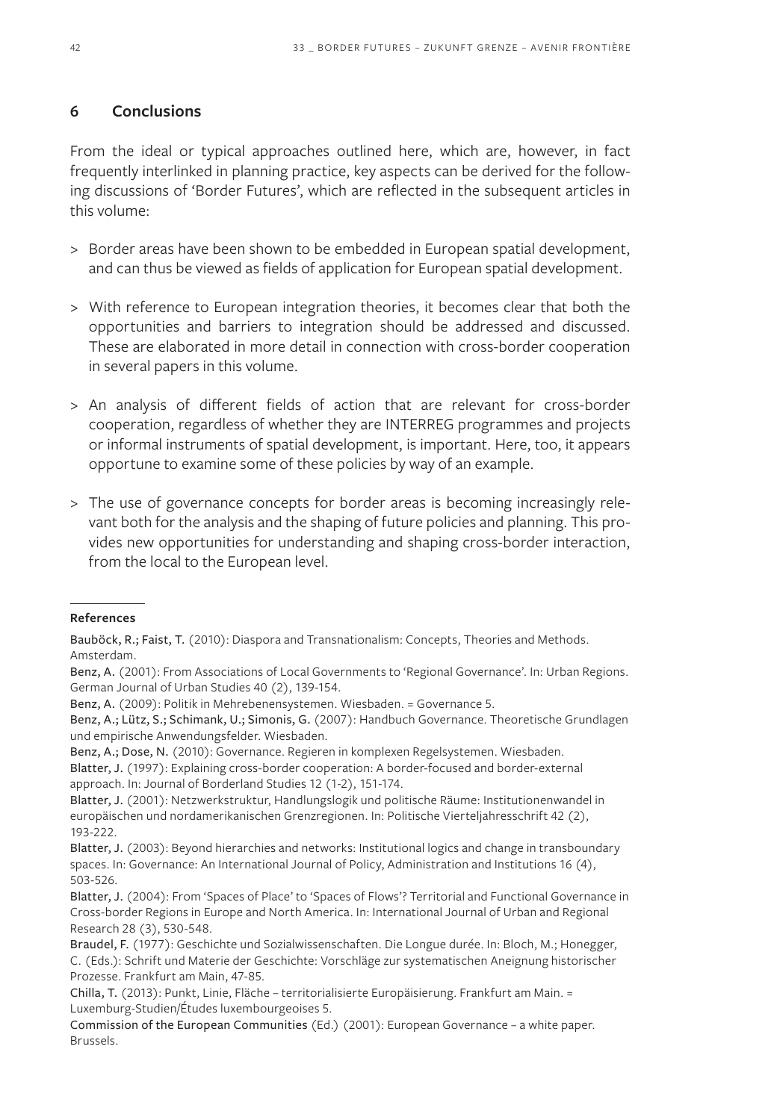#### **6 Conclusions**

From the ideal or typical approaches outlined here, which are, however, in fact frequently interlinked in planning practice, key aspects can be derived for the following discussions of 'Border Futures', which are reflected in the subsequent articles in this volume:

- > Border areas have been shown to be embedded in European spatial development, and can thus be viewed as fields of application for European spatial development.
- > With reference to European integration theories, it becomes clear that both the opportunities and barriers to integration should be addressed and discussed. These are elaborated in more detail in connection with cross-border cooperation in several papers in this volume.
- > An analysis of different fields of action that are relevant for cross-border cooperation, regardless of whether they are INTERREG programmes and projects or informal instruments of spatial development, is important. Here, too, it appears opportune to examine some of these policies by way of an example.
- > The use of governance concepts for border areas is becoming increasingly relevant both for the analysis and the shaping of future policies and planning. This provides new opportunities for understanding and shaping cross-border interaction, from the local to the European level.

#### **References**

Bauböck, R.; Faist, T. (2010): Diaspora and Transnationalism: Concepts, Theories and Methods. Amsterdam.

Benz, A. (2001): From Associations of Local Governments to 'Regional Governance'. In: Urban Regions. German Journal of Urban Studies 40 (2), 139-154.

Benz, A. (2009): Politik in Mehrebenensystemen. Wiesbaden. = Governance 5.

Benz, A.; Lütz, S.; Schimank, U.; Simonis, G. (2007): Handbuch Governance. Theoretische Grundlagen und empirische Anwendungsfelder. Wiesbaden.

Benz, A.; Dose, N. (2010): Governance. Regieren in komplexen Regelsystemen. Wiesbaden.

Blatter, J. (1997): Explaining cross-border cooperation: A border-focused and border-external approach. In: Journal of Borderland Studies 12 (1-2), 151-174.

Blatter, J. (2001): Netzwerkstruktur, Handlungslogik und politische Räume: Institutionenwandel in europäischen und nordamerikanischen Grenzregionen. In: Politische Vierteljahresschrift 42 (2), 193-222.

Blatter, J. (2003): Beyond hierarchies and networks: Institutional logics and change in transboundary spaces. In: Governance: An International Journal of Policy, Administration and Institutions 16 (4), 503-526.

Blatter, J. (2004): From 'Spaces of Place' to 'Spaces of Flows'? Territorial and Functional Governance in Cross-border Regions in Europe and North America. In: International Journal of Urban and Regional Research 28 (3), 530-548.

Braudel, F. (1977): Geschichte und Sozialwissenschaften. Die Longue durée. In: Bloch, M.; Honegger, C. (Eds.): Schrift und Materie der Geschichte: Vorschläge zur systematischen Aneignung historischer Prozesse. Frankfurt am Main, 47-85.

Chilla, T. (2013): Punkt, Linie, Fläche – territorialisierte Europäisierung. Frankfurt am Main. = Luxemburg-Studien/Études luxembourgeoises 5.

Commission of the European Communities (Ed.) (2001): European Governance – a white paper. Brussels.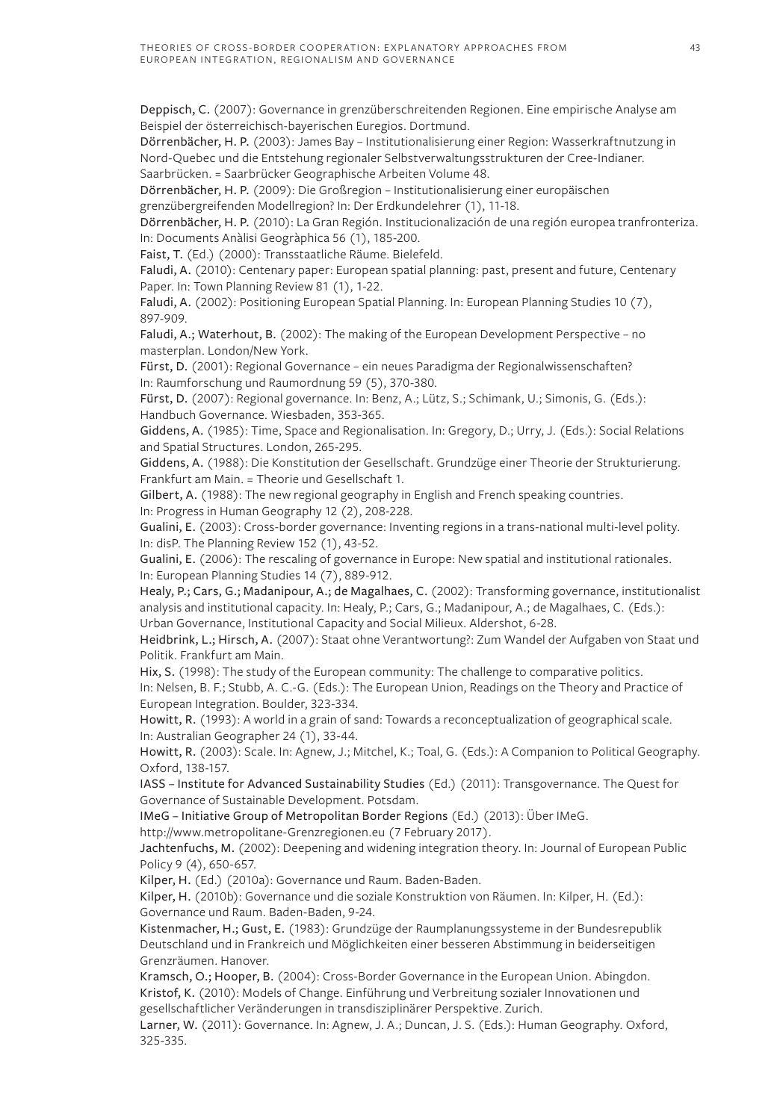Deppisch, C. (2007): Governance in grenzüberschreitenden Regionen. Eine empirische Analyse am Beispiel der österreichisch-bayerischen Euregios. Dortmund.

Dörrenbächer, H. P. (2003): James Bay – Institutionalisierung einer Region: Wasserkraftnutzung in Nord-Quebec und die Entstehung regionaler Selbstverwaltungsstrukturen der Cree-Indianer. Saarbrücken. = Saarbrücker Geographische Arbeiten Volume 48.

Dörrenbächer, H. P. (2009): Die Großregion – Institutionalisierung einer europäischen grenzübergreifenden Modellregion? In: Der Erdkundelehrer (1), 11-18.

Dörrenbächer, H. P. (2010): La Gran Región. Institucionalización de una región europea tranfronteriza. In: Documents Anàlisi Geogràphica 56 (1), 185-200.

Faist, T. (Ed.) (2000): Transstaatliche Räume. Bielefeld.

Faludi, A. (2010): Centenary paper: European spatial planning: past, present and future, Centenary Paper. In: Town Planning Review 81 (1), 1-22.

Faludi, A. (2002): Positioning European Spatial Planning. In: European Planning Studies 10 (7), 897-909.

Faludi, A.; Waterhout, B. (2002): The making of the European Development Perspective – no masterplan. London/New York.

Fürst, D. (2001): Regional Governance – ein neues Paradigma der Regionalwissenschaften? In: Raumforschung und Raumordnung 59 (5), 370-380.

Fürst, D. (2007): Regional governance. In: Benz, A.; Lütz, S.; Schimank, U.; Simonis, G. (Eds.): Handbuch Governance. Wiesbaden, 353-365.

Giddens, A. (1985): Time, Space and Regionalisation. In: Gregory, D.; Urry, J. (Eds.): Social Relations and Spatial Structures. London, 265-295.

Giddens, A. (1988): Die Konstitution der Gesellschaft. Grundzüge einer Theorie der Strukturierung. Frankfurt am Main. = Theorie und Gesellschaft 1.

Gilbert, A. (1988): The new regional geography in English and French speaking countries. In: Progress in Human Geography 12 (2), 208-228.

Gualini, E. (2003): Cross-border governance: Inventing regions in a trans-national multi-level polity. In: disP. The Planning Review 152 (1), 43-52.

Gualini, E. (2006): The rescaling of governance in Europe: New spatial and institutional rationales. In: European Planning Studies 14 (7), 889-912.

Healy, P.; Cars, G.; Madanipour, A.; de Magalhaes, C. (2002): Transforming governance, institutionalist analysis and institutional capacity. In: Healy, P.; Cars, G.; Madanipour, A.; de Magalhaes, C. (Eds.): Urban Governance, Institutional Capacity and Social Milieux. Aldershot, 6-28.

Heidbrink, L.; Hirsch, A. (2007): Staat ohne Verantwortung?: Zum Wandel der Aufgaben von Staat und Politik. Frankfurt am Main.

Hix, S. (1998): The study of the European community: The challenge to comparative politics. In: Nelsen, B. F.; Stubb, A. C.-G. (Eds.): The European Union, Readings on the Theory and Practice of European Integration. Boulder, 323-334.

Howitt, R. (1993): A world in a grain of sand: Towards a reconceptualization of geographical scale. In: Australian Geographer 24 (1), 33-44.

Howitt, R. (2003): Scale. In: Agnew, J.; Mitchel, K.; Toal, G. (Eds.): A Companion to Political Geography. Oxford, 138-157.

IASS – Institute for Advanced Sustainability Studies (Ed.) (2011): Transgovernance. The Quest for Governance of Sustainable Development. Potsdam.

IMeG – Initiative Group of Metropolitan Border Regions (Ed.) (2013): Über IMeG.

http://www.metropolitane-Grenzregionen.eu (7 February 2017).

Jachtenfuchs, M. (2002): Deepening and widening integration theory. In: Journal of European Public Policy 9 (4), 650-657.

Kilper, H. (Ed.) (2010a): Governance und Raum. Baden-Baden.

Kilper, H. (2010b): Governance und die soziale Konstruktion von Räumen. In: Kilper, H. (Ed.): Governance und Raum. Baden-Baden, 9-24.

Kistenmacher, H.; Gust, E. (1983): Grundzüge der Raumplanungssysteme in der Bundesrepublik Deutschland und in Frankreich und Möglichkeiten einer besseren Abstimmung in beiderseitigen Grenzräumen. Hanover.

Kramsch, O.; Hooper, B. (2004): Cross-Border Governance in the European Union. Abingdon. Kristof, K. (2010): Models of Change. Einführung und Verbreitung sozialer Innovationen und gesellschaftlicher Veränderungen in transdisziplinärer Perspektive. Zurich.

Larner, W. (2011): Governance. In: Agnew, J. A.; Duncan, J. S. (Eds.): Human Geography. Oxford, 325-335.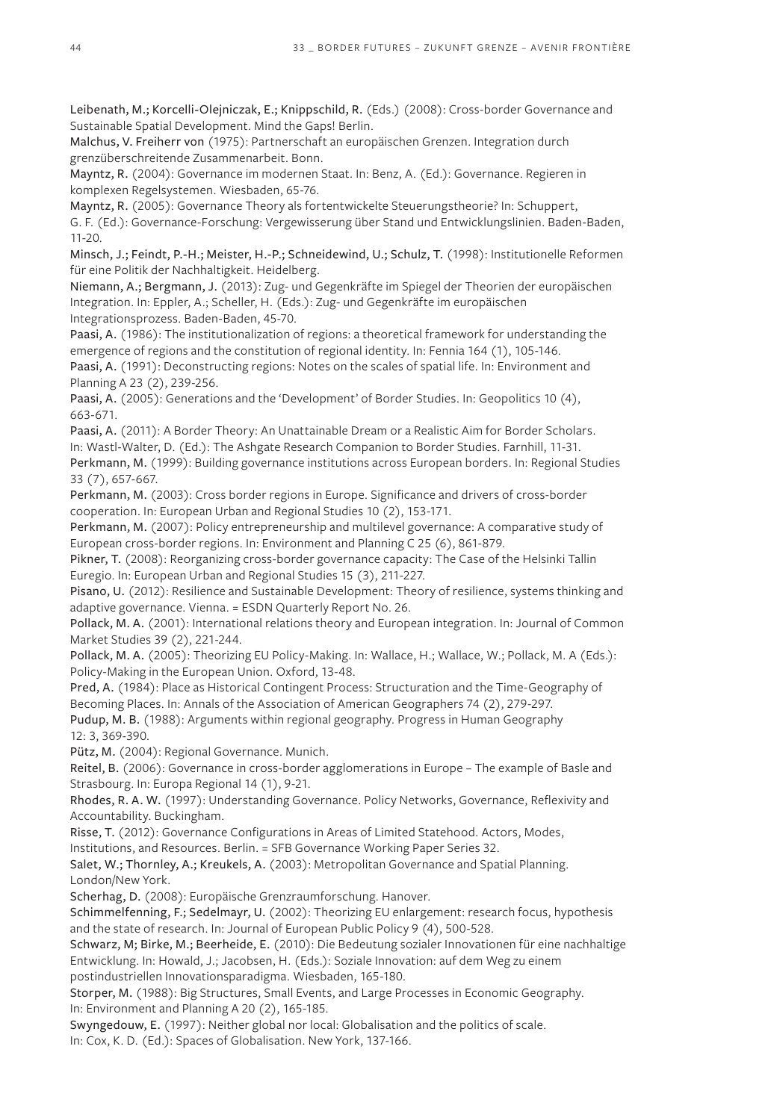Leibenath, M.; Korcelli-Olejniczak, E.; Knippschild, R. (Eds.) (2008): Cross-border Governance and Sustainable Spatial Development. Mind the Gaps! Berlin.

Malchus, V. Freiherr von (1975): Partnerschaft an europäischen Grenzen. Integration durch grenzüberschreitende Zusammenarbeit. Bonn.

Mayntz, R. (2004): Governance im modernen Staat. In: Benz, A. (Ed.): Governance. Regieren in komplexen Regelsystemen. Wiesbaden, 65-76.

Mayntz, R. (2005): Governance Theory als fortentwickelte Steuerungstheorie? In: Schuppert, G. F. (Ed.): Governance-Forschung: Vergewisserung über Stand und Entwicklungslinien. Baden-Baden, 11-20.

Minsch, J.; Feindt, P.-H.; Meister, H.-P.; Schneidewind, U.; Schulz, T. (1998): Institutionelle Reformen für eine Politik der Nachhaltigkeit. Heidelberg.

Niemann, A.; Bergmann, J. (2013): Zug- und Gegenkräfte im Spiegel der Theorien der europäischen Integration. In: Eppler, A.; Scheller, H. (Eds.): Zug- und Gegenkräfte im europäischen Integrationsprozess. Baden-Baden, 45-70.

Paasi, A. (1986): The institutionalization of regions: a theoretical framework for understanding the emergence of regions and the constitution of regional identity. In: Fennia 164 (1), 105-146.

Paasi, A. (1991): Deconstructing regions: Notes on the scales of spatial life. In: Environment and Planning A 23 (2), 239-256.

Paasi, A. (2005): Generations and the 'Development' of Border Studies. In: Geopolitics 10 (4), 663-671.

Paasi, A. (2011): A Border Theory: An Unattainable Dream or a Realistic Aim for Border Scholars. In: Wastl-Walter, D. (Ed.): The Ashgate Research Companion to Border Studies. Farnhill, 11-31.

Perkmann, M. (1999): Building governance institutions across European borders. In: Regional Studies 33 (7), 657-667.

Perkmann, M. (2003): Cross border regions in Europe. Significance and drivers of cross-border cooperation. In: European Urban and Regional Studies 10 (2), 153-171.

Perkmann, M. (2007): Policy entrepreneurship and multilevel governance: A comparative study of European cross-border regions. In: Environment and Planning C 25 (6), 861-879.

Pikner, T. (2008): Reorganizing cross-border governance capacity: The Case of the Helsinki Tallin Euregio. In: European Urban and Regional Studies 15 (3), 211-227.

Pisano, U. (2012): Resilience and Sustainable Development: Theory of resilience, systems thinking and adaptive governance. Vienna. = ESDN Quarterly Report No. 26.

Pollack, M. A. (2001): International relations theory and European integration. In: Journal of Common Market Studies 39 (2), 221-244.

Pollack, M. A. (2005): Theorizing EU Policy-Making. In: Wallace, H.; Wallace, W.; Pollack, M. A (Eds.): Policy-Making in the European Union. Oxford, 13-48.

Pred, A. (1984): Place as Historical Contingent Process: Structuration and the Time-Geography of Becoming Places. In: Annals of the Association of American Geographers 74 (2), 279-297.

Pudup, M. B. (1988): Arguments within regional geography. Progress in Human Geography 12: 3, 369-390.

Pütz, M. (2004): Regional Governance. Munich.

Reitel, B. (2006): Governance in cross-border agglomerations in Europe – The example of Basle and Strasbourg. In: Europa Regional 14 (1), 9-21.

Rhodes, R. A. W. (1997): Understanding Governance. Policy Networks, Governance, Reflexivity and Accountability. Buckingham.

Risse, T. (2012): Governance Configurations in Areas of Limited Statehood. Actors, Modes,

Institutions, and Resources. Berlin. = SFB Governance Working Paper Series 32.

Salet, W.; Thornley, A.; Kreukels, A. (2003): Metropolitan Governance and Spatial Planning. London/New York.

Scherhag, D. (2008): Europäische Grenzraumforschung. Hanover.

Schimmelfenning, F.; Sedelmayr, U. (2002): Theorizing EU enlargement: research focus, hypothesis and the state of research. In: Journal of European Public Policy 9 (4), 500-528.

Schwarz, M; Birke, M.; Beerheide, E. (2010): Die Bedeutung sozialer Innovationen für eine nachhaltige Entwicklung. In: Howald, J.; Jacobsen, H. (Eds.): Soziale Innovation: auf dem Weg zu einem postindustriellen Innovationsparadigma. Wiesbaden, 165-180.

Storper, M. (1988): Big Structures, Small Events, and Large Processes in Economic Geography. In: Environment and Planning A 20 (2), 165-185.

Swyngedouw, E. (1997): Neither global nor local: Globalisation and the politics of scale. In: Cox, K. D. (Ed.): Spaces of Globalisation. New York, 137-166.